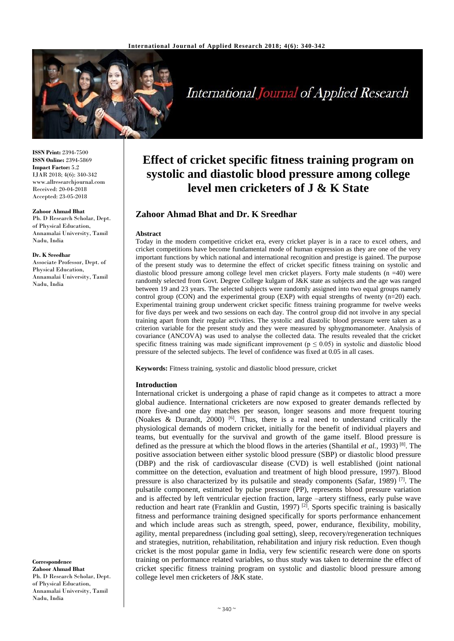

International Journal of Applied Research

**ISSN Print:** 2394-7500 **ISSN Online:** 2394-5869 **Impact Factor:** 5.2 IJAR 2018; 4(6): 340-342 www.allresearchjournal.com Received: 20-04-2018 Accepted: 23-05-2018

## **Zahoor Ahmad Bhat**

Ph. D Research Scholar, Dept. of Physical Education, Annamalai University, Tamil Nadu, India

#### **Dr. K Sreedhar**

Associate Professor, Dept. of Physical Education, Annamalai University, Tamil Nadu, India

#### **Correspondence Zahoor Ahmad Bhat** Ph. D Research Scholar, Dept. of Physical Education, Annamalai University, Tamil Nadu, India

# **Effect of cricket specific fitness training program on systolic and diastolic blood pressure among college level men cricketers of J & K State**

# **Zahoor Ahmad Bhat and Dr. K Sreedhar**

# **Abstract**

Today in the modern competitive cricket era, every cricket player is in a race to excel others, and cricket competitions have become fundamental mode of human expression as they are one of the very important functions by which national and international recognition and prestige is gained. The purpose of the present study was to determine the effect of cricket specific fitness training on systolic and diastolic blood pressure among college level men cricket players. Forty male students (n =40) were randomly selected from Govt. Degree College kulgam of J&K state as subjects and the age was ranged between 19 and 23 years. The selected subjects were randomly assigned into two equal groups namely control group (CON) and the experimental group (EXP) with equal strengths of twenty  $(n=20)$  each. Experimental training group underwent cricket specific fitness training programme for twelve weeks for five days per week and two sessions on each day. The control group did not involve in any special training apart from their regular activities. The systolic and diastolic blood pressure were taken as a criterion variable for the present study and they were measured by sphygmomanometer. Analysis of covariance (ANCOVA) was used to analyse the collected data. The results revealed that the cricket specific fitness training was made significant improvement ( $p \le 0.05$ ) in systolic and diastolic blood pressure of the selected subjects. The level of confidence was fixed at 0.05 in all cases.

**Keywords:** Fitness training, systolic and diastolic blood pressure, cricket

# **Introduction**

International cricket is undergoing a phase of rapid change as it competes to attract a more global audience. International cricketers are now exposed to greater demands reflected by more five-and one day matches per season, longer seasons and more frequent touring (Noakes & Durandt, 2000) <sup>[6]</sup>. Thus, there is a real need to understand critically the physiological demands of modern cricket, initially for the benefit of individual players and teams, but eventually for the survival and growth of the game itself. Blood pressure is defined as the pressure at which the blood flows in the arteries (Shantilal *et al.*, 1993) [8] . The positive association between either systolic blood pressure (SBP) or diastolic blood pressure (DBP) and the risk of cardiovascular disease (CVD) is well established (joint national committee on the detection, evaluation and treatment of high blood pressure, 1997). Blood pressure is also characterized by its pulsatile and steady components (Safar, 1989)<sup>[7]</sup>. The pulsatile component, estimated by pulse pressure (PP), represents blood pressure variation and is affected by left ventricular ejection fraction, large –artery stiffness, early pulse wave reduction and heart rate (Franklin and Gustin, 1997)<sup>[2]</sup>. Sports specific training is basically fitness and performance training designed specifically for sports performance enhancement and which include areas such as strength, speed, power, endurance, flexibility, mobility, agility, mental preparedness (including goal setting), sleep, recovery/regeneration techniques and strategies, nutrition, rehabilitation, rehabilitation and injury risk reduction. Even though cricket is the most popular game in India, very few scientific research were done on sports training on performance related variables, so thus study was taken to determine the effect of cricket specific fitness training program on systolic and diastolic blood pressure among college level men cricketers of J&K state.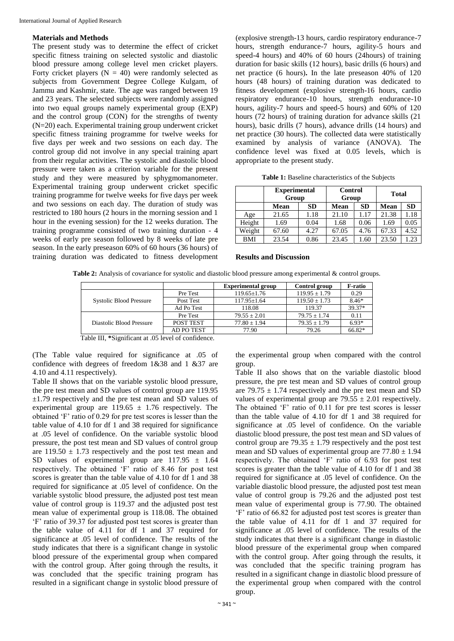## **Materials and Methods**

The present study was to determine the effect of cricket specific fitness training on selected systolic and diastolic blood pressure among college level men cricket players. Forty cricket players  $(N = 40)$  were randomly selected as subjects from Government Degree College Kulgam, of Jammu and Kashmir, state. The age was ranged between 19 and 23 years. The selected subjects were randomly assigned into two equal groups namely experimental group (EXP) and the control group (CON) for the strengths of twenty (N=20) each. Experimental training group underwent cricket specific fitness training programme for twelve weeks for five days per week and two sessions on each day. The control group did not involve in any special training apart from their regular activities. The systolic and diastolic blood pressure were taken as a criterion variable for the present study and they were measured by sphygmomanometer. Experimental training group underwent cricket specific training programme for twelve weeks for five days per week and two sessions on each day. The duration of study was restricted to 180 hours (2 hours in the morning session and 1 hour in the evening session) for the 12 weeks duration. The training programme consisted of two training duration - 4 weeks of early pre season followed by 8 weeks of late pre season. In the early preseason 60% of 60 hours (36 hours) of training duration was dedicated to fitness development

(explosive strength-13 hours, cardio respiratory endurance-7 hours, strength endurance-7 hours, agility-5 hours and speed-4 hours) and 40% of 60 hours (24hours) of training duration for basic skills (12 hours), basic drills (6 hours) and net practice (6 hours)**.** In the late preseason 40% of 120 hours (48 hours) of training duration was dedicated to fitness development (explosive strength-16 hours, cardio respiratory endurance-10 hours, strength endurance-10 hours, agility-7 hours and speed-5 hours) and 60% of 120 hours (72 hours) of training duration for advance skills (21 hours), basic drills (7 hours), advance drills (14 hours) and net practice (30 hours). The collected data were statistically examined by analysis of variance (ANOVA). The confidence level was fixed at 0.05 levels, which is appropriate to the present study.

| Table 1: Baseline characteristics of the Subjects |  |  |  |
|---------------------------------------------------|--|--|--|
|---------------------------------------------------|--|--|--|

|            | <b>Experimental</b><br>Group |           | <b>Control</b><br>Group |           | <b>Total</b> |           |
|------------|------------------------------|-----------|-------------------------|-----------|--------------|-----------|
|            | Mean                         | <b>SD</b> | Mean                    | <b>SD</b> | Mean         | <b>SD</b> |
| Age        | 21.65                        | 1.18      | 21.10                   | 1.17      | 21.38        | 1.18      |
| Height     | 1.69                         | 0.04      | 1.68                    | 0.06      | 1.69         | 0.05      |
| Weight     | 67.60                        | 4.27      | 67.05                   | 4.76      | 67.33        | 4.52      |
| <b>BMI</b> | 23.54                        | 0.86      | 23.45                   | 1.60      | 23.50        | 1.23      |

## **Results and Discussion**

**Table 2:** Analysis of covariance for systolic and diastolic blood pressure among experimental & control groups.

|                          |            | <b>Experimental group</b> | Control group     | F-ratio |
|--------------------------|------------|---------------------------|-------------------|---------|
|                          | Pre Test   | $119.65 \pm 1.76$         | $119.95 \pm 1.79$ | 0.29    |
| Systolic Blood Pressure  | Post Test  | $117.95 \pm 1.64$         | $119.50 \pm 1.73$ | $8.46*$ |
|                          | Ad Po Test | 118.08                    | 119.37            | 39.37*  |
| Diastolic Blood Pressure | Pre Test   | $79.55 + 2.01$            | $79.75 + 1.74$    | 0.11    |
|                          | POST TEST  | $77.80 \pm 1.94$          | $79.35 \pm 1.79$  | $6.93*$ |
|                          | AD PO TEST | 77.90                     | 79.26             | 66.82*  |

Table III, **\***Significant at .05 level of confidence.

(The Table value required for significance at .05 of confidence with degrees of freedom 1&38 and 1 &37 are 4.10 and 4.11 respectively).

Table II shows that on the variable systolic blood pressure, the pre test mean and SD values of control group are 119.95 ±1.79 respectively and the pre test mean and SD values of experimental group are  $119.65 \pm 1.76$  respectively. The obtained 'F' ratio of 0.29 for pre test scores is lesser than the table value of 4.10 for df 1 and 38 required for significance at .05 level of confidence. On the variable systolic blood pressure, the post test mean and SD values of control group are  $119.50 \pm 1.73$  respectively and the post test mean and SD values of experimental group are  $117.95 \pm 1.64$ respectively. The obtained 'F' ratio of 8.46 for post test scores is greater than the table value of 4.10 for df 1 and 38 required for significance at .05 level of confidence. On the variable systolic blood pressure, the adjusted post test mean value of control group is 119.37 and the adjusted post test mean value of experimental group is 118.08. The obtained 'F' ratio of 39.37 for adjusted post test scores is greater than the table value of 4.11 for df 1 and 37 required for significance at .05 level of confidence. The results of the study indicates that there is a significant change in systolic blood pressure of the experimental group when compared with the control group. After going through the results, it was concluded that the specific training program has resulted in a significant change in systolic blood pressure of the experimental group when compared with the control group.

Table II also shows that on the variable diastolic blood pressure, the pre test mean and SD values of control group are 79.75  $\pm$  1.74 respectively and the pre test mean and SD values of experimental group are  $79.55 \pm 2.01$  respectively. The obtained 'F' ratio of 0.11 for pre test scores is lesser than the table value of 4.10 for df 1 and 38 required for significance at .05 level of confidence. On the variable diastolic blood pressure, the post test mean and SD values of control group are 79.35  $\pm$  1.79 respectively and the post test mean and SD values of experimental group are  $77.80 \pm 1.94$ respectively. The obtained 'F' ratio of 6.93 for post test scores is greater than the table value of 4.10 for df 1 and 38 required for significance at .05 level of confidence. On the variable diastolic blood pressure, the adjusted post test mean value of control group is 79.26 and the adjusted post test mean value of experimental group is 77.90. The obtained 'F' ratio of 66.82 for adjusted post test scores is greater than the table value of 4.11 for df 1 and 37 required for significance at .05 level of confidence. The results of the study indicates that there is a significant change in diastolic blood pressure of the experimental group when compared with the control group. After going through the results, it was concluded that the specific training program has resulted in a significant change in diastolic blood pressure of the experimental group when compared with the control group.